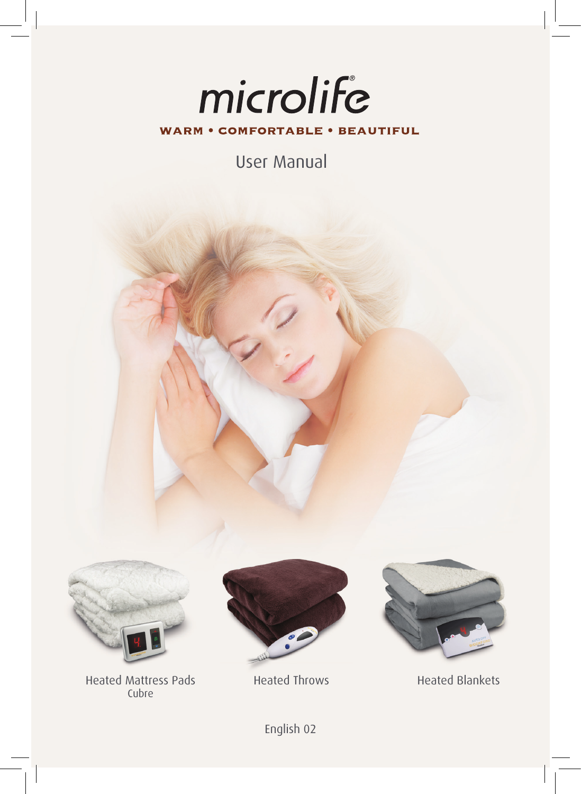# microlife **WARM • COMFORTABLE • BEAUTIFUL**

User Manual



Heated Mattress Pads Cubre





Heated Throws Heated Blankets

English 02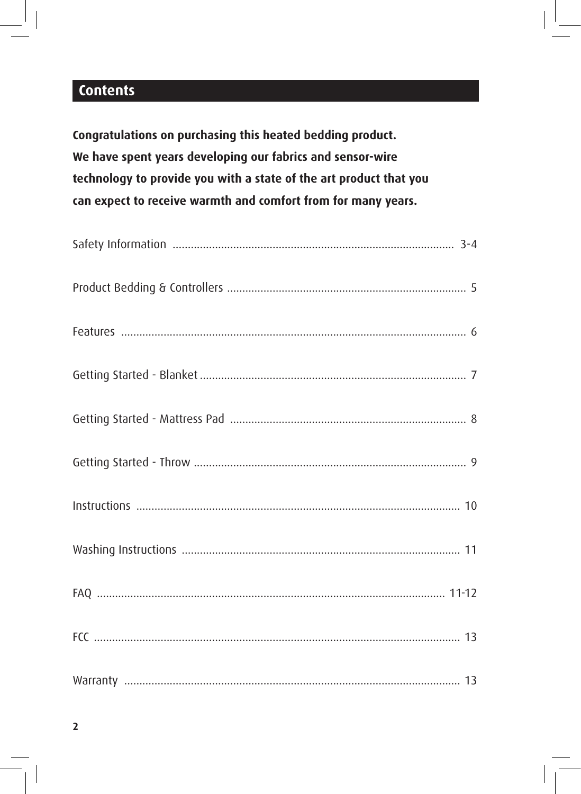# **Contents**

Congratulations on purchasing this heated bedding product. We have spent years developing our fabrics and sensor-wire technology to provide you with a state of the art product that you can expect to receive warmth and comfort from for many years.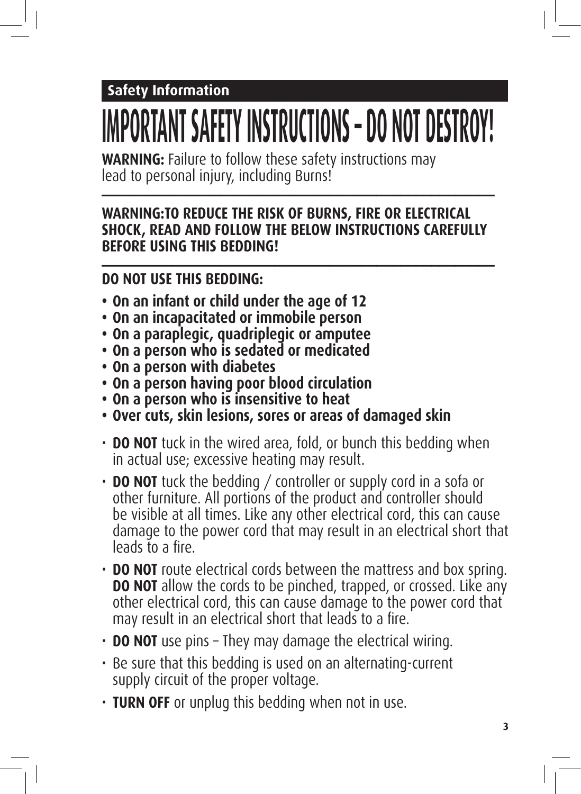# **Safety Information**

# **IMPORTANT SAFETY INSTRUCTIONS – DO NOT DESTROY!**

**WARNING:** Failure to follow these safety instructions may lead to personal injury, including Burns! **\_\_\_\_\_\_\_\_\_\_\_\_\_\_\_\_\_\_\_\_\_\_\_\_\_\_\_\_\_\_\_\_\_\_\_\_\_\_\_\_\_\_\_\_\_\_\_\_\_\_**

## **WARNING:TO REDUCE THE RISK OF BURNS, FIRE OR ELECTRICAL SHOCK, READ AND FOLLOW THE BELOW INSTRUCTIONS CAREFULLY BEFORE USING THIS BEDDING! \_\_\_\_\_\_\_\_\_\_\_\_\_\_\_\_\_\_\_\_\_\_\_\_\_\_\_\_\_\_\_\_\_\_\_\_\_\_\_\_\_\_\_\_\_\_\_\_\_\_**

# **DO NOT USE THIS BEDDING:**

- **• On an infant or child under the age of 12**
- **• On an incapacitated or immobile person**
- **• On a paraplegic, quadriplegic or amputee**
- **• On a person who is sedated or medicated**
- **• On a person with diabetes**
- **• On a person having poor blood circulation**
- **• On a person who is insensitive to heat**
- **• Over cuts, skin lesions, sores or areas of damaged skin**
- **DO NOT** tuck in the wired area, fold, or bunch this bedding when in actual use; excessive heating may result.
- **DO NOT** tuck the bedding / controller or supply cord in a sofa or other furniture. All portions of the product and controller should be visible at all times. Like any other electrical cord, this can cause damage to the power cord that may result in an electrical short that leads to a fire.
- **DO NOT** route electrical cords between the mattress and box spring. **DO NOT** allow the cords to be pinched, trapped, or crossed. Like any other electrical cord, this can cause damage to the power cord that may result in an electrical short that leads to a fire.
- **DO NOT** use pins They may damage the electrical wiring.
- Be sure that this bedding is used on an alternating-current supply circuit of the proper voltage.
- **TURN OFF** or unplug this bedding when not in use.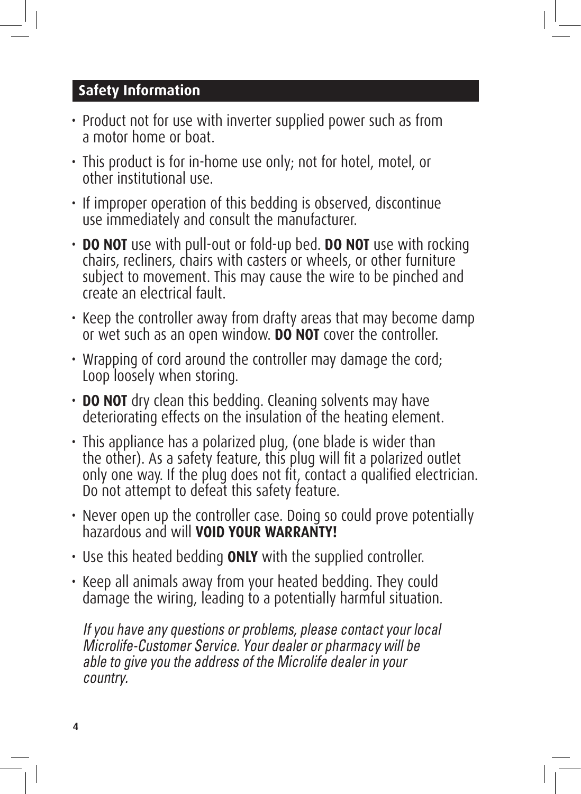# **Safety Information**

- Product not for use with inverter supplied power such as from a motor home or boat.
- This product is for in-home use only; not for hotel, motel, or other institutional use.
- If improper operation of this bedding is observed, discontinue use immediately and consult the manufacturer.
- **DO NOT** use with pull-out or fold-up bed. **DO NOT** use with rocking chairs, recliners, chairs with casters or wheels, or other furniture subject to movement. This may cause the wire to be pinched and create an electrical fault.
- Keep the controller away from drafty areas that may become damp or wet such as an open window. **DO NOT** cover the controller.
- Wrapping of cord around the controller may damage the cord; Loop loosely when storing.
- **DO NOT** dry clean this bedding. Cleaning solvents may have deteriorating effects on the insulation of the heating element.
- This appliance has a polarized plug, (one blade is wider than the other). As a safety feature, this plug will fit a polarized outlet only one way. If the plug does not fit, contact a qualified electrician. Do not attempt to defeat this safety feature.
- Never open up the controller case. Doing so could prove potentially hazardous and will **VOID YOUR WARRANTY!**
- Use this heated bedding **ONLY** with the supplied controller.
- Keep all animals away from your heated bedding. They could damage the wiring, leading to a potentially harmful situation.

If you have any questions or problems, please contact your local Microlife-Customer Service. Your dealer or pharmacy will be able to give you the address of the Microlife dealer in your country.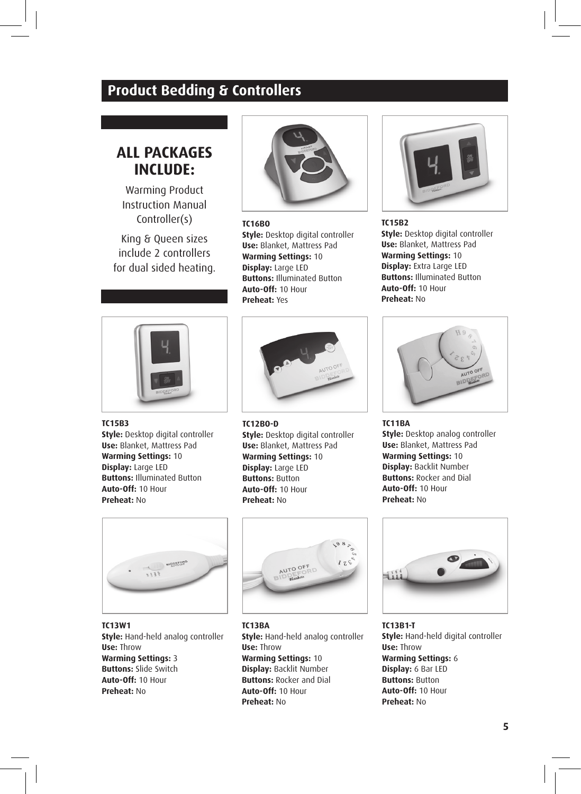# **Product Bedding & Controllers**

# **ALL PACKAGES INCLUDE:**

Warming Product Instruction Manual Controller(s)

King & Queen sizes include 2 controllers for dual sided heating.



#### **TC16BO Style:** Desktop digital controller **Use:** Blanket, Mattress Pad **Warming Settings:** 10 **Display:** Large LED **Buttons:** Illuminated Button

**Auto-Off:** 10 Hour **Preheat:** Yes



#### **TC15B3**

**Style:** Desktop digital controller **Use:** Blanket, Mattress Pad **Warming Settings:** 10 **Display:** Large LED **Buttons:** Illuminated Button **Auto-Off:** 10 Hour **Preheat:** No



#### **TC12BO-D**

**Style:** Desktop digital controller **Use:** Blanket, Mattress Pad **Warming Settings:** 10 **Display:** Large LED **Buttons:** Button **Auto-Off:** 10 Hour **Preheat:** No



**TC15B2 Style:** Desktop digital controller **Use:** Blanket, Mattress Pad **Warming Settings:** 10 **Display:** Extra Large LED **Buttons:** Illuminated Button **Auto-Off:** 10 Hour **Preheat:** No



**TC11BA Style:** Desktop analog controller **Use:** Blanket, Mattress Pad **Warming Settings:** 10 **Display:** Backlit Number **Buttons:** Rocker and Dial **Auto-Off:** 10 Hour **Preheat:** No



**TC13W1 Style:** Hand-held analog controller **Use:** Throw **Warming Settings:** 3 **Buttons:** Slide Switch **Auto-Off:** 10 Hour **Preheat:** No



**TC13BA Style:** Hand-held analog controller **Use:** Throw **Warming Settings:** 10 **Display:** Backlit Number **Buttons:** Rocker and Dial **Auto-Off:** 10 Hour **Preheat:** No



**TC13B1-T Style:** Hand-held digital controller **Use:** Throw **Warming Settings:** 6 **Display:** 6 Bar LED **Buttons:** Button **Auto-Off:** 10 Hour **Preheat:** No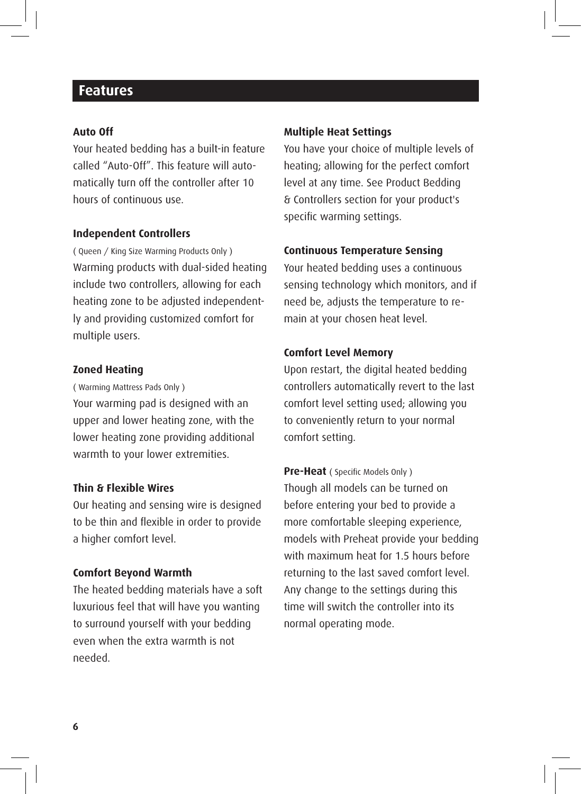### **Features**

#### **Auto Off**

Your heated bedding has a built-in feature called "Auto-Off". This feature will automatically turn off the controller after 10 hours of continuous use.

#### **Independent Controllers**

( Queen / King Size Warming Products Only ) Warming products with dual-sided heating include two controllers, allowing for each heating zone to be adjusted independently and providing customized comfort for multiple users.

#### **Zoned Heating**

( Warming Mattress Pads Only )

Your warming pad is designed with an upper and lower heating zone, with the lower heating zone providing additional warmth to your lower extremities.

#### **Thin & Flexible Wires**

Our heating and sensing wire is designed to be thin and flexible in order to provide a higher comfort level.

#### **Comfort Beyond Warmth**

The heated bedding materials have a soft luxurious feel that will have you wanting to surround yourself with your bedding even when the extra warmth is not needed.

#### **Multiple Heat Settings**

You have your choice of multiple levels of heating; allowing for the perfect comfort level at any time. See Product Bedding & Controllers section for your product's specific warming settings.

#### **Continuous Temperature Sensing**

Your heated bedding uses a continuous sensing technology which monitors, and if need be, adjusts the temperature to remain at your chosen heat level.

#### **Comfort Level Memory**

Upon restart, the digital heated bedding controllers automatically revert to the last comfort level setting used; allowing you to conveniently return to your normal comfort setting.

**Pre-Heat** ( Specific Models Only ) Though all models can be turned on before entering your bed to provide a more comfortable sleeping experience, models with Preheat provide your bedding with maximum heat for 1.5 hours before returning to the last saved comfort level. Any change to the settings during this time will switch the controller into its normal operating mode.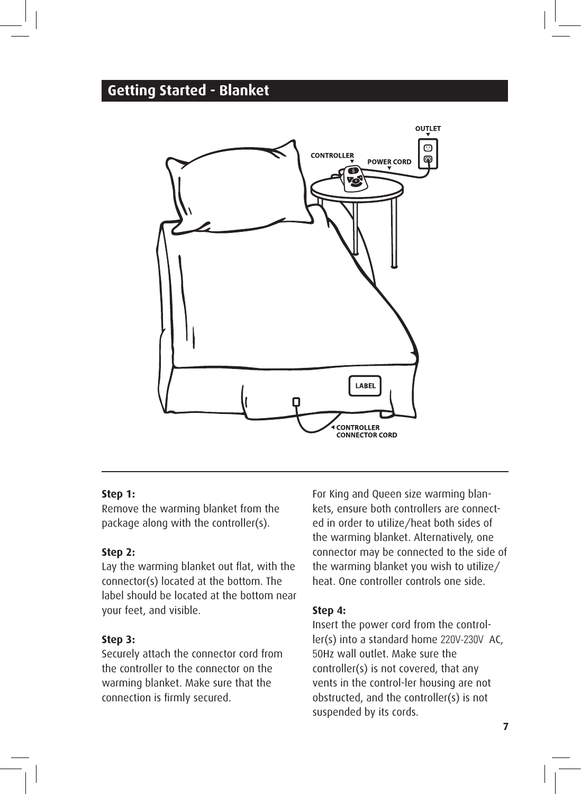# **Getting Started - Blanket**



#### **Step 1:**

Remove the warming blanket from the package along with the controller(s).

#### **Step 2:**

Lay the warming blanket out flat, with the connector(s) located at the bottom. The label should be located at the bottom near your feet, and visible.

#### **Step 3:**

Securely attach the connector cord from the controller to the connector on the warming blanket. Make sure that the connection is firmly secured.

For King and Queen size warming blankets, ensure both controllers are connected in order to utilize/heat both sides of the warming blanket. Alternatively, one connector may be connected to the side of the warming blanket you wish to utilize/ heat. One controller controls one side.

#### **Step 4:**

Insert the power cord from the controller(s) into a standard home 220V-230V AC, 50Hz wall outlet. Make sure the controller(s) is not covered, that any vents in the control-ler housing are not obstructed, and the controller(s) is not suspended by its cords.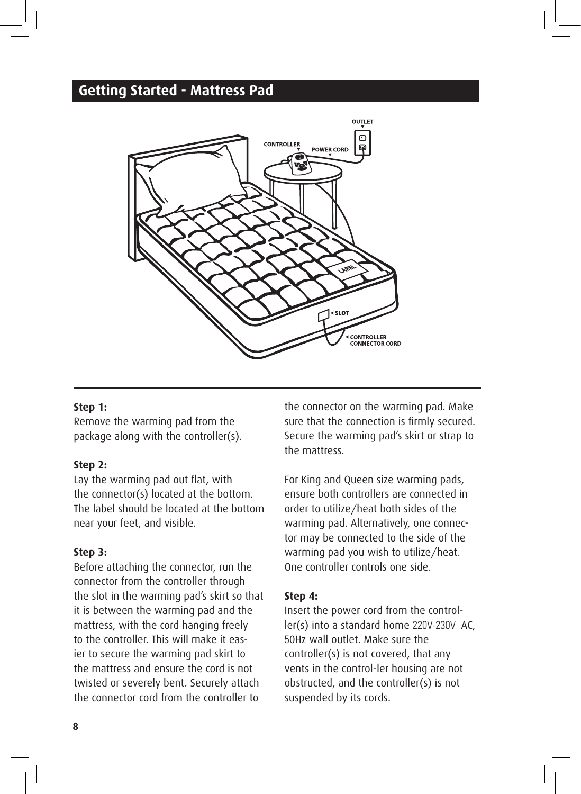# **Getting Started - Mattress Pad**



#### **Step 1:**

Remove the warming pad from the package along with the controller(s).

#### **Step 2:**

Lay the warming pad out flat, with the connector(s) located at the bottom. The label should be located at the bottom near your feet, and visible.

#### **Step 3:**

Before attaching the connector, run the connector from the controller through the slot in the warming pad's skirt so that it is between the warming pad and the mattress, with the cord hanging freely to the controller. This will make it easier to secure the warming pad skirt to the mattress and ensure the cord is not twisted or severely bent. Securely attach the connector cord from the controller to

the connector on the warming pad. Make sure that the connection is firmly secured. Secure the warming pad's skirt or strap to the mattress.

For King and Queen size warming pads, ensure both controllers are connected in order to utilize/heat both sides of the warming pad. Alternatively, one connector may be connected to the side of the warming pad you wish to utilize/heat. One controller controls one side.

#### **Step 4:**

Insert the power cord from the controller(s) into a standard home 220V-230V AC, 50Hz wall outlet. Make sure the controller(s) is not covered, that any vents in the control-ler housing are not obstructed, and the controller(s) is not suspended by its cords.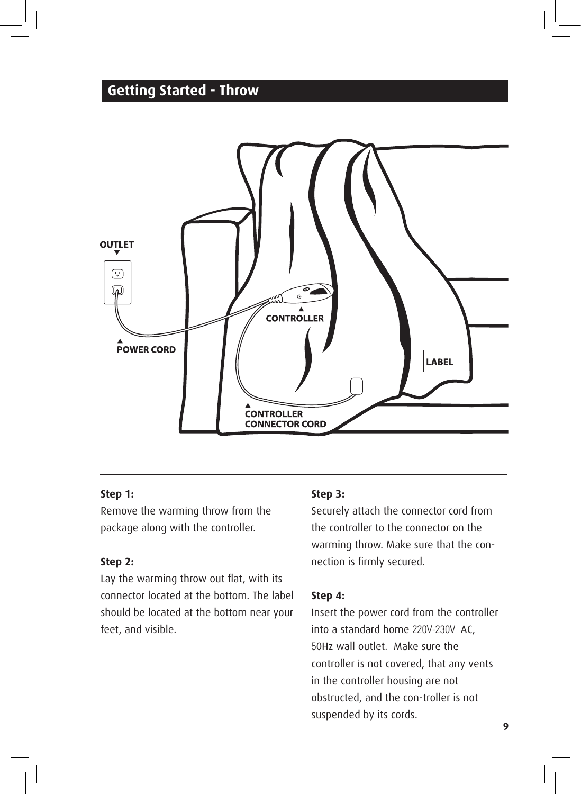# **Getting Started - Throw**



#### **Step 1:**

Remove the warming throw from the package along with the controller.

#### **Step 2:**

Lay the warming throw out flat, with its connector located at the bottom. The label should be located at the bottom near your feet, and visible.

#### **Step 3:**

Securely attach the connector cord from the controller to the connector on the warming throw. Make sure that the connection is firmly secured.

#### **Step 4:**

Insert the power cord from the controller into a standard home 220V-230V AC, 50Hz wall outlet. Make sure the controller is not covered, that any vents in the controller housing are not obstructed, and the con-troller is not suspended by its cords.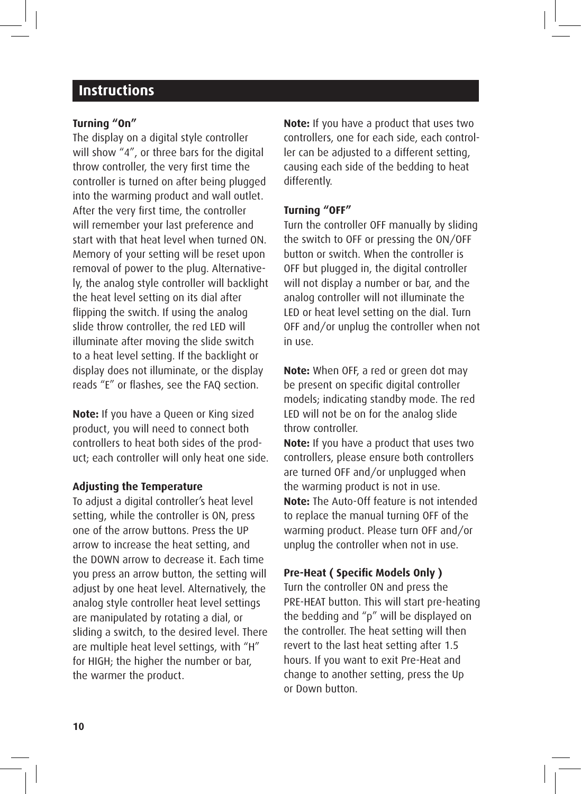# **Instructions**

#### **Turning "On"**

The display on a digital style controller will show "4", or three bars for the digital throw controller, the very first time the controller is turned on after being plugged into the warming product and wall outlet. After the very first time, the controller will remember your last preference and start with that heat level when turned ON. Memory of your setting will be reset upon removal of power to the plug. Alternatively, the analog style controller will backlight the heat level setting on its dial after flipping the switch. If using the analog slide throw controller, the red LED will illuminate after moving the slide switch to a heat level setting. If the backlight or display does not illuminate, or the display reads "E" or flashes, see the FAQ section.

**Note:** If you have a Queen or King sized product, you will need to connect both controllers to heat both sides of the product; each controller will only heat one side.

#### **Adjusting the Temperature**

To adjust a digital controller's heat level setting, while the controller is ON, press one of the arrow buttons. Press the UP arrow to increase the heat setting, and the DOWN arrow to decrease it. Each time you press an arrow button, the setting will adjust by one heat level. Alternatively, the analog style controller heat level settings are manipulated by rotating a dial, or sliding a switch, to the desired level. There are multiple heat level settings, with "H" for HIGH; the higher the number or bar, the warmer the product.

**Note:** If you have a product that uses two controllers, one for each side, each controller can be adjusted to a different setting, causing each side of the bedding to heat differently.

#### **Turning "OFF"**

Turn the controller OFF manually by sliding the switch to OFF or pressing the ON/OFF button or switch. When the controller is OFF but plugged in, the digital controller will not display a number or bar, and the analog controller will not illuminate the LED or heat level setting on the dial. Turn OFF and/or unplug the controller when not in use.

**Note:** When OFF, a red or green dot may be present on specific digital controller models; indicating standby mode. The red LED will not be on for the analog slide throw controller.

**Note:** If you have a product that uses two controllers, please ensure both controllers are turned OFF and/or unplugged when the warming product is not in use. **Note:** The Auto-Off feature is not intended to replace the manual turning OFF of the warming product. Please turn OFF and/or unplug the controller when not in use.

#### **Pre-Heat ( Specific Models Only )**

Turn the controller ON and press the PRE-HEAT button. This will start pre-heating the bedding and "p" will be displayed on the controller. The heat setting will then revert to the last heat setting after 1.5 hours. If you want to exit Pre-Heat and change to another setting, press the Up or Down button.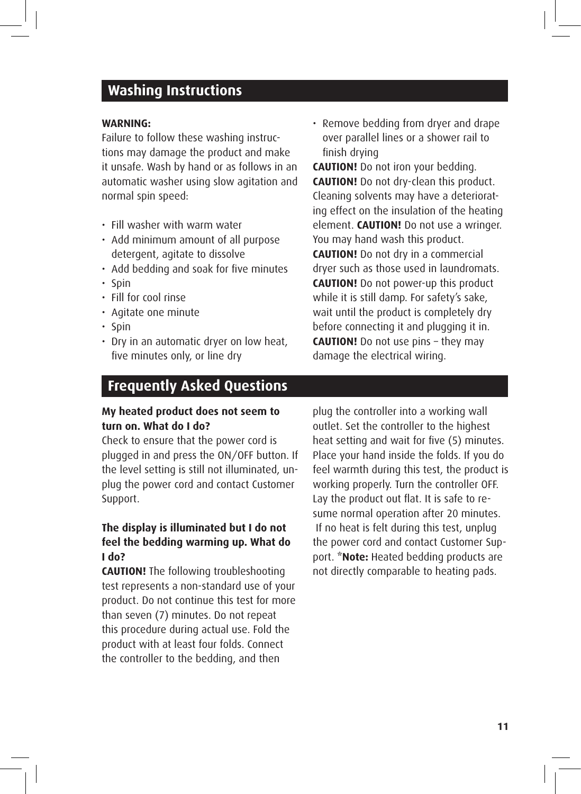# **Washing Instructions**

#### **WARNING:**

Failure to follow these washing instructions may damage the product and make it unsafe. Wash by hand or as follows in an automatic washer using slow agitation and normal spin speed:

- Fill washer with warm water
- Add minimum amount of all purpose detergent, agitate to dissolve
- Add bedding and soak for five minutes
- Spin
- Fill for cool rinse
- Agitate one minute
- Spin
- Dry in an automatic dryer on low heat, five minutes only, or line dry

• Remove bedding from dryer and drape over parallel lines or a shower rail to finish drying

**CAUTION!** Do not iron your bedding. **CAUTION!** Do not dry-clean this product. Cleaning solvents may have a deteriorating effect on the insulation of the heating element. **CAUTION!** Do not use a wringer. You may hand wash this product. **CAUTION!** Do not dry in a commercial dryer such as those used in laundromats. **CAUTION!** Do not power-up this product while it is still damp. For safety's sake, wait until the product is completely dry before connecting it and plugging it in. **CAUTION!** Do not use pins – they may damage the electrical wiring.

# **Frequently Asked Questions**

#### **My heated product does not seem to turn on. What do I do?**

Check to ensure that the power cord is plugged in and press the ON/OFF button. If the level setting is still not illuminated, unplug the power cord and contact Customer Support.

#### **The display is illuminated but I do not feel the bedding warming up. What do I do?**

**CAUTION!** The following troubleshooting test represents a non-standard use of your product. Do not continue this test for more than seven (7) minutes. Do not repeat this procedure during actual use. Fold the product with at least four folds. Connect the controller to the bedding, and then

plug the controller into a working wall outlet. Set the controller to the highest heat setting and wait for five (5) minutes. Place your hand inside the folds. If you do feel warmth during this test, the product is working properly. Turn the controller OFF. Lay the product out flat. It is safe to resume normal operation after 20 minutes. If no heat is felt during this test, unplug the power cord and contact Customer Support. **\*Note:** Heated bedding products are not directly comparable to heating pads.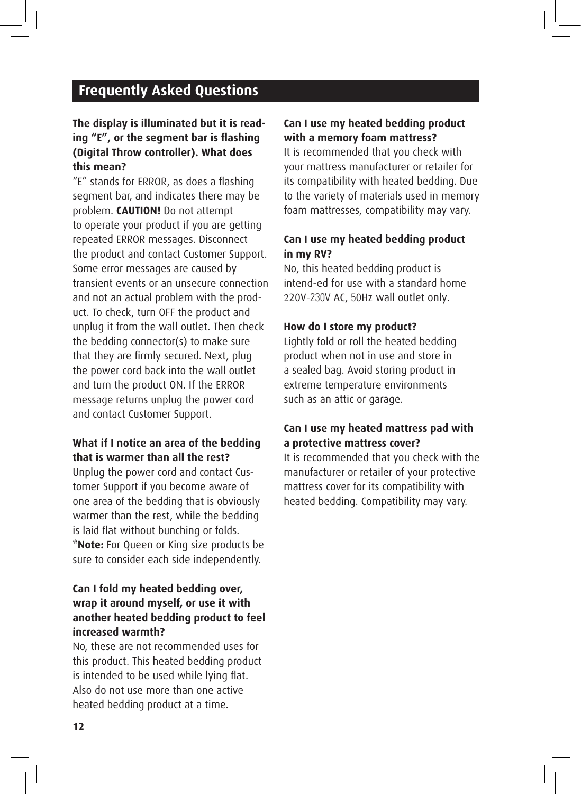# **Frequently Asked Questions**

#### **The display is illuminated but it is reading "E", or the segment bar is flashing (Digital Throw controller). What does this mean?**

"E" stands for ERROR, as does a flashing segment bar, and indicates there may be problem. **CAUTION!** Do not attempt to operate your product if you are getting repeated ERROR messages. Disconnect the product and contact Customer Support. Some error messages are caused by transient events or an unsecure connection and not an actual problem with the product. To check, turn OFF the product and unplug it from the wall outlet. Then check the bedding connector(s) to make sure that they are firmly secured. Next, plug the power cord back into the wall outlet and turn the product ON. If the ERROR message returns unplug the power cord and contact Customer Support.

#### **What if I notice an area of the bedding that is warmer than all the rest?**

Unplug the power cord and contact Customer Support if you become aware of one area of the bedding that is obviously warmer than the rest, while the bedding is laid flat without bunching or folds. **\*Note:** For Queen or King size products be sure to consider each side independently.

#### **Can I fold my heated bedding over, wrap it around myself, or use it with another heated bedding product to feel increased warmth?**

No, these are not recommended uses for this product. This heated bedding product is intended to be used while lying flat. Also do not use more than one active heated bedding product at a time.

#### **Can I use my heated bedding product with a memory foam mattress?**

It is recommended that you check with your mattress manufacturer or retailer for its compatibility with heated bedding. Due to the variety of materials used in memory foam mattresses, compatibility may vary.

#### **Can I use my heated bedding product in my RV?**

No, this heated bedding product is intend-ed for use with a standard home 220V-230V AC, 50Hz wall outlet only.

#### **How do I store my product?**

Lightly fold or roll the heated bedding product when not in use and store in a sealed bag. Avoid storing product in extreme temperature environments such as an attic or garage.

#### **Can I use my heated mattress pad with a protective mattress cover?**

It is recommended that you check with the manufacturer or retailer of your protective mattress cover for its compatibility with heated bedding. Compatibility may vary.